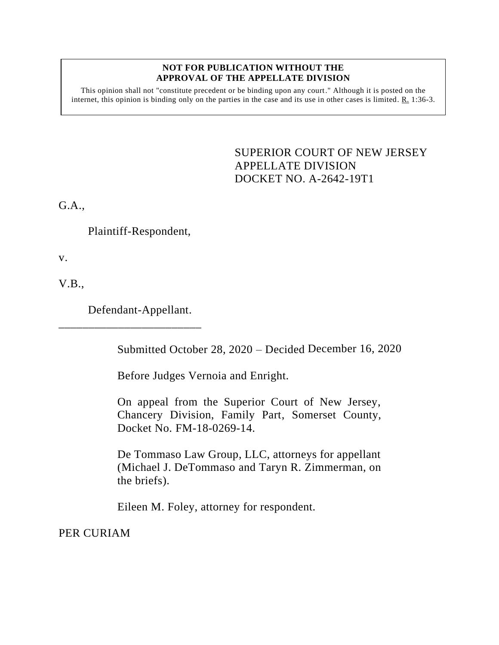## **NOT FOR PUBLICATION WITHOUT THE APPROVAL OF THE APPELLATE DIVISION**

This opinion shall not "constitute precedent or be binding upon any court." Although it is posted on the internet, this opinion is binding only on the parties in the case and its use in other cases is limited. R. 1:36-3.

> <span id="page-0-0"></span>SUPERIOR COURT OF NEW JERSEY APPELLATE DIVISION DOCKET NO. A-2642-19T1

G.A.,

Plaintiff-Respondent,

v.

V.B.,

Defendant-Appellant.

\_\_\_\_\_\_\_\_\_\_\_\_\_\_\_\_\_\_\_\_\_\_\_\_

Submitted October 28, 2020 – Decided December 16, 2020

Before Judges Vernoia and Enright.

On appeal from the Superior Court of New Jersey, Chancery Division, Family Part, Somerset County, Docket No. FM-18-0269-14.

De Tommaso Law Group, LLC, attorneys for appellant (Michael J. DeTommaso and Taryn R. Zimmerman, on the briefs).

Eileen M. Foley, attorney for respondent.

PER CURIAM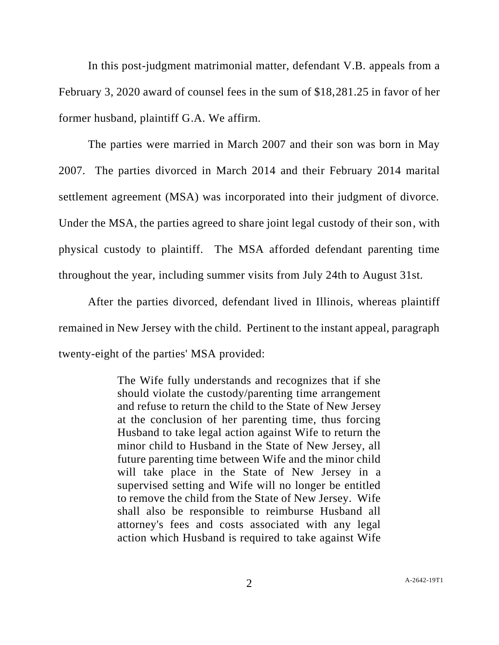In this post-judgment matrimonial matter, defendant V.B. appeals from a February 3, 2020 award of counsel fees in the sum of \$18,281.25 in favor of her former husband, plaintiff G.A. We affirm.

The parties were married in March 2007 and their son was born in May 2007. The parties divorced in March 2014 and their February 2014 marital settlement agreement (MSA) was incorporated into their judgment of divorce. Under the MSA, the parties agreed to share joint legal custody of their son, with physical custody to plaintiff. The MSA afforded defendant parenting time throughout the year, including summer visits from July 24th to August 31st.

After the parties divorced, defendant lived in Illinois, whereas plaintiff remained in New Jersey with the child. Pertinent to the instant appeal, paragraph twenty-eight of the parties' MSA provided:

> The Wife fully understands and recognizes that if she should violate the custody/parenting time arrangement and refuse to return the child to the State of New Jersey at the conclusion of her parenting time, thus forcing Husband to take legal action against Wife to return the minor child to Husband in the State of New Jersey, all future parenting time between Wife and the minor child will take place in the State of New Jersey in a supervised setting and Wife will no longer be entitled to remove the child from the State of New Jersey. Wife shall also be responsible to reimburse Husband all attorney's fees and costs associated with any legal action which Husband is required to take against Wife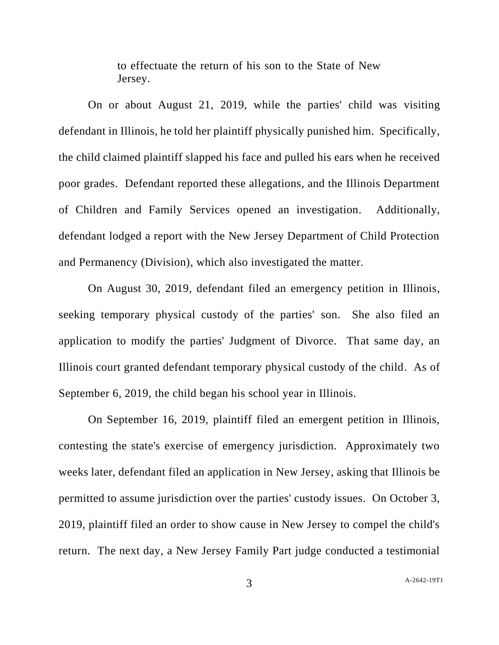to effectuate the return of his son to the State of New Jersey.

On or about August 21, 2019, while the parties' child was visiting defendant in Illinois, he told her plaintiff physically punished him. Specifically, the child claimed plaintiff slapped his face and pulled his ears when he received poor grades. Defendant reported these allegations, and the Illinois Department of Children and Family Services opened an investigation. Additionally, defendant lodged a report with the New Jersey Department of Child Protection and Permanency (Division), which also investigated the matter.

On August 30, 2019, defendant filed an emergency petition in Illinois, seeking temporary physical custody of the parties' son. She also filed an application to modify the parties' Judgment of Divorce. That same day, an Illinois court granted defendant temporary physical custody of the child. As of September 6, 2019, the child began his school year in Illinois.

On September 16, 2019, plaintiff filed an emergent petition in Illinois, contesting the state's exercise of emergency jurisdiction. Approximately two weeks later, defendant filed an application in New Jersey, asking that Illinois be permitted to assume jurisdiction over the parties' custody issues. On October 3, 2019, plaintiff filed an order to show cause in New Jersey to compel the child's return. The next day, a New Jersey Family Part judge conducted a testimonial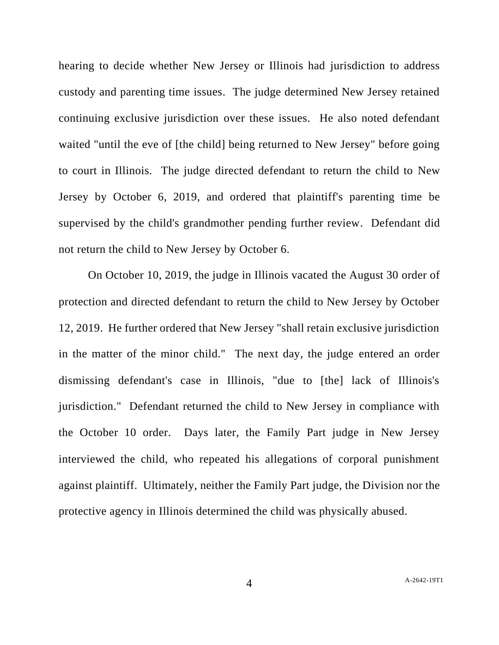hearing to decide whether New Jersey or Illinois had jurisdiction to address custody and parenting time issues. The judge determined New Jersey retained continuing exclusive jurisdiction over these issues. He also noted defendant waited "until the eve of [the child] being returned to New Jersey" before going to court in Illinois. The judge directed defendant to return the child to New Jersey by October 6, 2019, and ordered that plaintiff's parenting time be supervised by the child's grandmother pending further review. Defendant did not return the child to New Jersey by October 6.

On October 10, 2019, the judge in Illinois vacated the August 30 order of protection and directed defendant to return the child to New Jersey by October 12, 2019. He further ordered that New Jersey "shall retain exclusive jurisdiction in the matter of the minor child." The next day, the judge entered an order dismissing defendant's case in Illinois, "due to [the] lack of Illinois's jurisdiction." Defendant returned the child to New Jersey in compliance with the October 10 order. Days later, the Family Part judge in New Jersey interviewed the child, who repeated his allegations of corporal punishment against plaintiff. Ultimately, neither the Family Part judge, the Division nor the protective agency in Illinois determined the child was physically abused.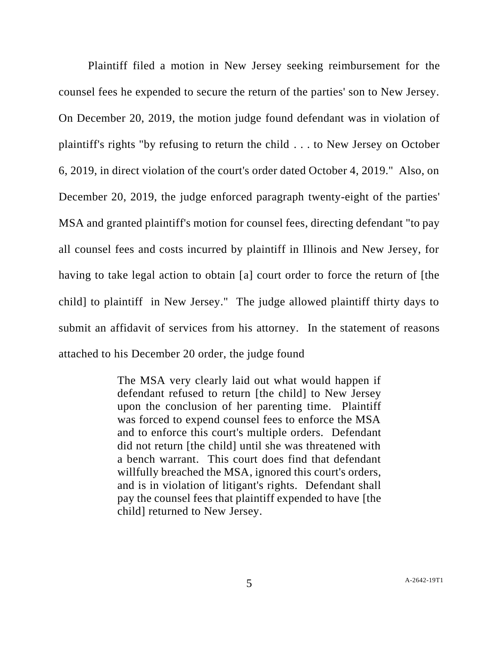Plaintiff filed a motion in New Jersey seeking reimbursement for the counsel fees he expended to secure the return of the parties' son to New Jersey. On December 20, 2019, the motion judge found defendant was in violation of plaintiff's rights "by refusing to return the child . . . to New Jersey on October 6, 2019, in direct violation of the court's order dated October 4, 2019." Also, on December 20, 2019, the judge enforced paragraph twenty-eight of the parties' MSA and granted plaintiff's motion for counsel fees, directing defendant "to pay all counsel fees and costs incurred by plaintiff in Illinois and New Jersey, for having to take legal action to obtain [a] court order to force the return of [the child] to plaintiff in New Jersey." The judge allowed plaintiff thirty days to submit an affidavit of services from his attorney. In the statement of reasons attached to his December 20 order, the judge found

> The MSA very clearly laid out what would happen if defendant refused to return [the child] to New Jersey upon the conclusion of her parenting time. Plaintiff was forced to expend counsel fees to enforce the MSA and to enforce this court's multiple orders. Defendant did not return [the child] until she was threatened with a bench warrant. This court does find that defendant willfully breached the MSA, ignored this court's orders, and is in violation of litigant's rights. Defendant shall pay the counsel fees that plaintiff expended to have [the child] returned to New Jersey.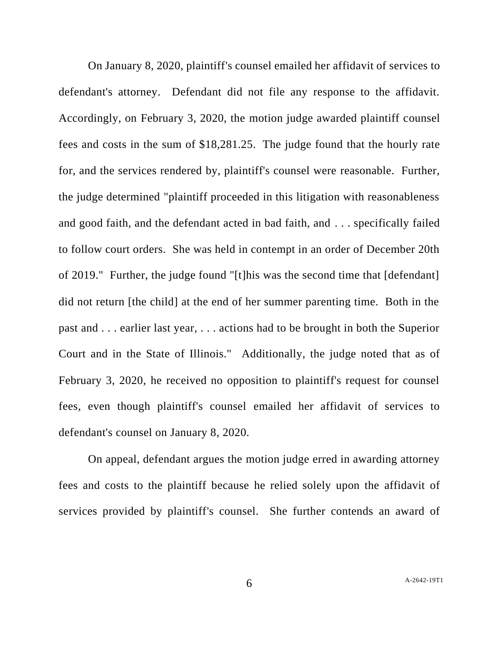On January 8, 2020, plaintiff's counsel emailed her affidavit of services to defendant's attorney. Defendant did not file any response to the affidavit. Accordingly, on February 3, 2020, the motion judge awarded plaintiff counsel fees and costs in the sum of \$18,281.25. The judge found that the hourly rate for, and the services rendered by, plaintiff's counsel were reasonable. Further, the judge determined "plaintiff proceeded in this litigation with reasonableness and good faith, and the defendant acted in bad faith, and . . . specifically failed to follow court orders. She was held in contempt in an order of December 20th of 2019." Further, the judge found "[t]his was the second time that [defendant] did not return [the child] at the end of her summer parenting time. Both in the past and . . . earlier last year, . . . actions had to be brought in both the Superior Court and in the State of Illinois." Additionally, the judge noted that as of February 3, 2020, he received no opposition to plaintiff's request for counsel fees, even though plaintiff's counsel emailed her affidavit of services to defendant's counsel on January 8, 2020.

On appeal, defendant argues the motion judge erred in awarding attorney fees and costs to the plaintiff because he relied solely upon the affidavit of services provided by plaintiff's counsel. She further contends an award of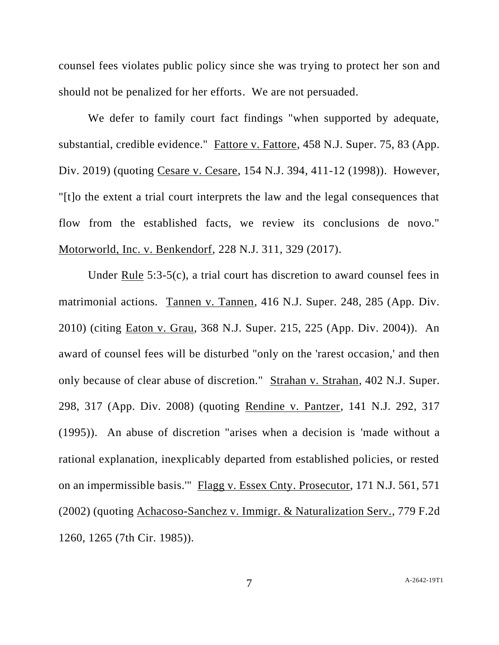counsel fees violates public policy since she was trying to protect her son and should not be penalized for her efforts. We are not persuaded.

We defer to family court fact findings "when supported by adequate, substantial, credible evidence." Fattore v. Fattore, 458 N.J. Super. 75, 83 (App. Div. 2019) (quoting Cesare v. Cesare, 154 N.J. 394, 411-12 (1998)). However, "[t]o the extent a trial court interprets the law and the legal consequences that flow from the established facts, we review its conclusions de novo." Motorworld, Inc. v. Benkendorf, 228 N.J. 311, 329 (2017).

Under Rule 5:3-5(c), a trial court has discretion to award counsel fees in matrimonial actions. Tannen v. Tannen, 416 N.J. Super. 248, 285 (App. Div. 2010) (citing Eaton v. Grau, 368 N.J. Super. 215, 225 (App. Div. 2004)). An award of counsel fees will be disturbed "only on the 'rarest occasion,' and then only because of clear abuse of discretion." Strahan v. Strahan, 402 N.J. Super. 298, 317 (App. Div. 2008) (quoting Rendine v. Pantzer, 141 N.J. 292, 317 (1995)). An abuse of discretion "arises when a decision is 'made without a rational explanation, inexplicably departed from established policies, or rested on an impermissible basis.'" Flagg v. Essex Cnty. Prosecutor, 171 N.J. 561, 571 (2002) (quoting Achacoso-Sanchez v. Immigr. & Naturalization Serv., 779 F.2d 1260, 1265 (7th Cir. 1985)).

7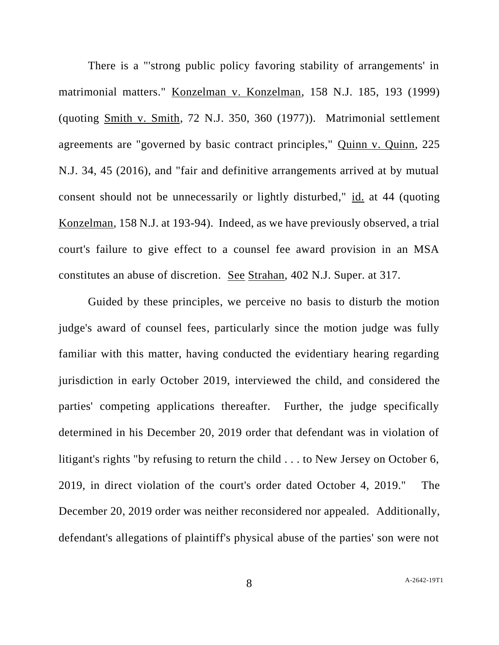There is a "'strong public policy favoring stability of arrangements' in matrimonial matters." Konzelman v. Konzelman, 158 N.J. 185, 193 (1999) (quoting Smith v. Smith, 72 N.J. 350, 360 (1977)). Matrimonial settlement agreements are "governed by basic contract principles," Quinn v. Quinn, 225 N.J. 34, 45 (2016), and "fair and definitive arrangements arrived at by mutual consent should not be unnecessarily or lightly disturbed," id. at 44 (quoting Konzelman, 158 N.J. at 193-94). Indeed, as we have previously observed, a trial court's failure to give effect to a counsel fee award provision in an MSA constitutes an abuse of discretion. See Strahan, 402 N.J. Super. at 317.

Guided by these principles, we perceive no basis to disturb the motion judge's award of counsel fees, particularly since the motion judge was fully familiar with this matter, having conducted the evidentiary hearing regarding jurisdiction in early October 2019, interviewed the child, and considered the parties' competing applications thereafter. Further, the judge specifically determined in his December 20, 2019 order that defendant was in violation of litigant's rights "by refusing to return the child . . . to New Jersey on October 6, 2019, in direct violation of the court's order dated October 4, 2019." The December 20, 2019 order was neither reconsidered nor appealed. Additionally, defendant's allegations of plaintiff's physical abuse of the parties' son were not